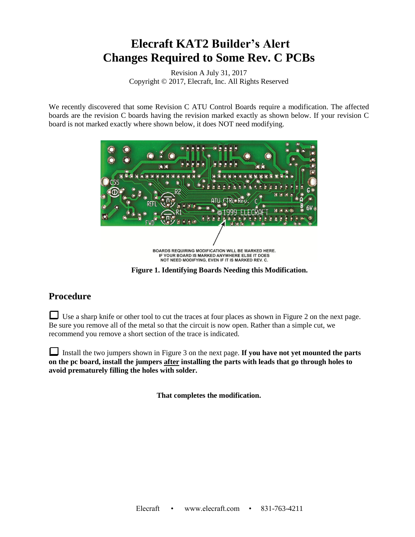## **Elecraft KAT2 Builder's Alert Changes Required to Some Rev. C PCBs**

Revision A July 31, 2017 Copyright © 2017, Elecraft, Inc. All Rights Reserved

We recently discovered that some Revision C ATU Control Boards require a modification. The affected boards are the revision C boards having the revision marked exactly as shown below. If your revision C board is not marked exactly where shown below, it does NOT need modifying.



**Figure 1. Identifying Boards Needing this Modification.**

## **Procedure**

Use a sharp knife or other tool to cut the traces at four places as shown in [Figure 2](#page-1-0) on the next page. Be sure you remove all of the metal so that the circuit is now open. Rather than a simple cut, we recommend you remove a short section of the trace is indicated.

Install the two jumpers shown in [Figure 3](#page-1-1) on the next page. **If you have not yet mounted the parts on the pc board, install the jumpers after installing the parts with leads that go through holes to avoid prematurely filling the holes with solder.**

**That completes the modification.**